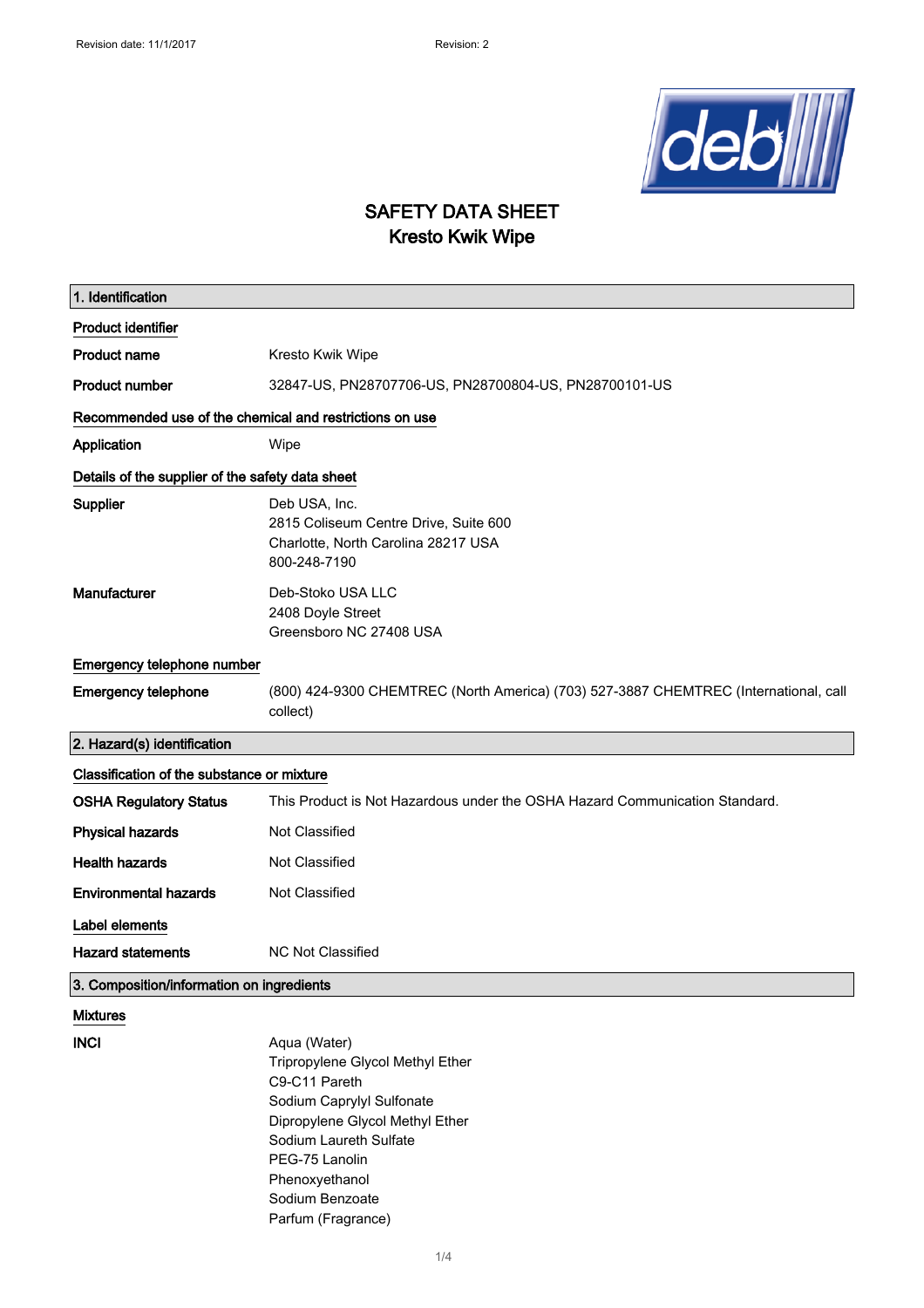

## SAFETY DATA SHEET Kresto Kwik Wipe

| 1. Identification                                       |                                                                                                                                                                                                                                          |  |
|---------------------------------------------------------|------------------------------------------------------------------------------------------------------------------------------------------------------------------------------------------------------------------------------------------|--|
| <b>Product identifier</b>                               |                                                                                                                                                                                                                                          |  |
| <b>Product name</b>                                     | Kresto Kwik Wipe                                                                                                                                                                                                                         |  |
| <b>Product number</b>                                   | 32847-US, PN28707706-US, PN28700804-US, PN28700101-US                                                                                                                                                                                    |  |
| Recommended use of the chemical and restrictions on use |                                                                                                                                                                                                                                          |  |
| Application                                             | Wipe                                                                                                                                                                                                                                     |  |
| Details of the supplier of the safety data sheet        |                                                                                                                                                                                                                                          |  |
| Supplier                                                | Deb USA, Inc.<br>2815 Coliseum Centre Drive, Suite 600<br>Charlotte, North Carolina 28217 USA<br>800-248-7190                                                                                                                            |  |
| Manufacturer                                            | Deb-Stoko USA LLC<br>2408 Doyle Street<br>Greensboro NC 27408 USA                                                                                                                                                                        |  |
| Emergency telephone number                              |                                                                                                                                                                                                                                          |  |
| <b>Emergency telephone</b>                              | (800) 424-9300 CHEMTREC (North America) (703) 527-3887 CHEMTREC (International, call<br>collect)                                                                                                                                         |  |
| 2. Hazard(s) identification                             |                                                                                                                                                                                                                                          |  |
| Classification of the substance or mixture              |                                                                                                                                                                                                                                          |  |
| <b>OSHA Regulatory Status</b>                           | This Product is Not Hazardous under the OSHA Hazard Communication Standard.                                                                                                                                                              |  |
| <b>Physical hazards</b>                                 | Not Classified                                                                                                                                                                                                                           |  |
| <b>Health hazards</b>                                   | Not Classified                                                                                                                                                                                                                           |  |
| <b>Environmental hazards</b>                            | Not Classified                                                                                                                                                                                                                           |  |
| Label elements                                          |                                                                                                                                                                                                                                          |  |
| <b>Hazard statements</b>                                | <b>NC Not Classified</b>                                                                                                                                                                                                                 |  |
| 3. Composition/information on ingredients               |                                                                                                                                                                                                                                          |  |
| <b>Mixtures</b>                                         |                                                                                                                                                                                                                                          |  |
| <b>INCI</b>                                             | Aqua (Water)<br>Tripropylene Glycol Methyl Ether<br>C9-C11 Pareth<br>Sodium Caprylyl Sulfonate<br>Dipropylene Glycol Methyl Ether<br>Sodium Laureth Sulfate<br>PEG-75 Lanolin<br>Phenoxyethanol<br>Sodium Benzoate<br>Parfum (Fragrance) |  |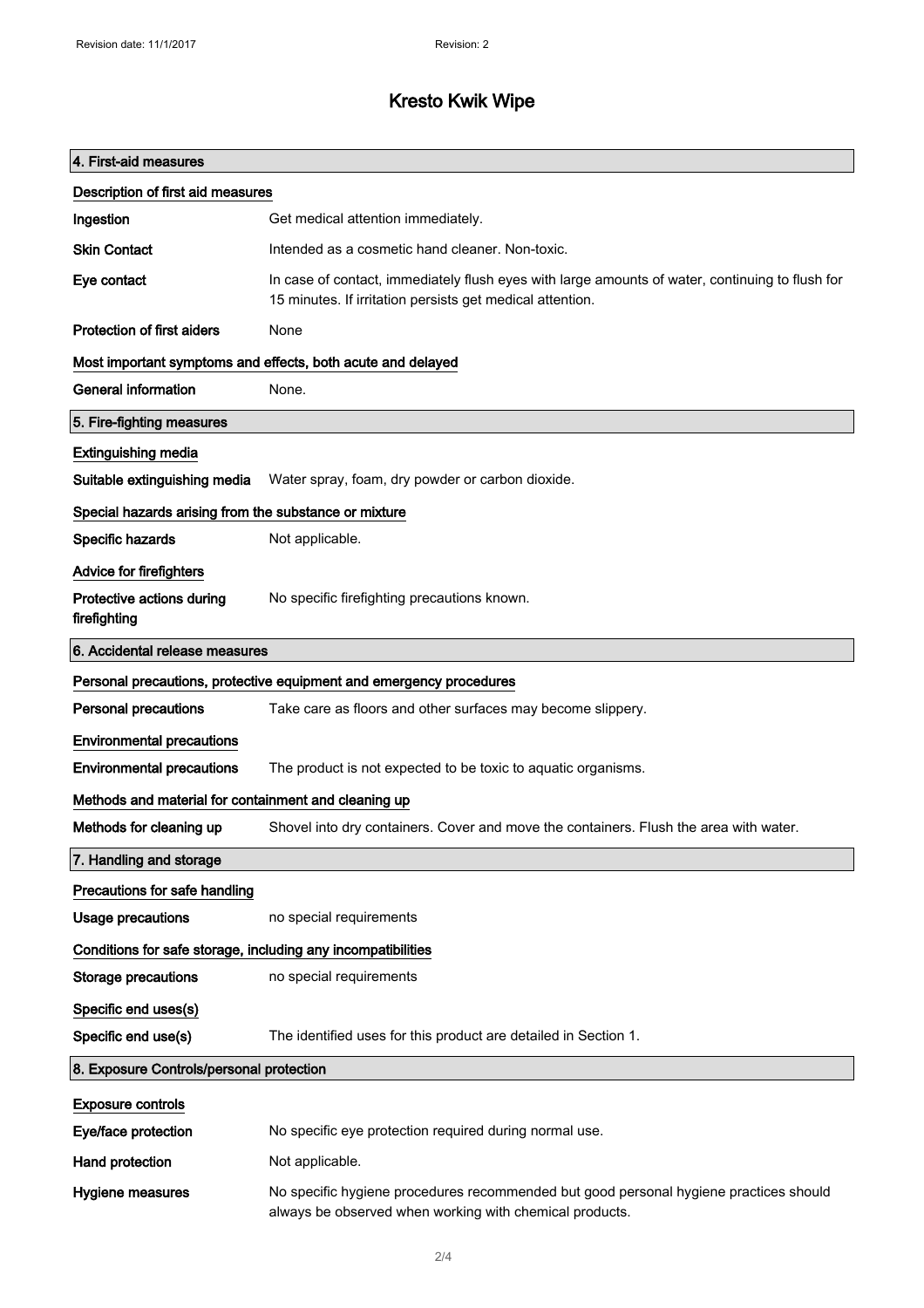# Kresto Kwik Wipe

| 4. First-aid measures                                               |                                                                                                                                                              |  |
|---------------------------------------------------------------------|--------------------------------------------------------------------------------------------------------------------------------------------------------------|--|
| Description of first aid measures                                   |                                                                                                                                                              |  |
| Ingestion                                                           | Get medical attention immediately.                                                                                                                           |  |
| <b>Skin Contact</b>                                                 | Intended as a cosmetic hand cleaner. Non-toxic.                                                                                                              |  |
| Eye contact                                                         | In case of contact, immediately flush eyes with large amounts of water, continuing to flush for<br>15 minutes. If irritation persists get medical attention. |  |
| <b>Protection of first aiders</b>                                   | None                                                                                                                                                         |  |
| Most important symptoms and effects, both acute and delayed         |                                                                                                                                                              |  |
| <b>General information</b>                                          | None.                                                                                                                                                        |  |
| 5. Fire-fighting measures                                           |                                                                                                                                                              |  |
| <b>Extinguishing media</b>                                          |                                                                                                                                                              |  |
| Suitable extinguishing media                                        | Water spray, foam, dry powder or carbon dioxide.                                                                                                             |  |
| Special hazards arising from the substance or mixture               |                                                                                                                                                              |  |
| <b>Specific hazards</b>                                             | Not applicable.                                                                                                                                              |  |
| <b>Advice for firefighters</b>                                      |                                                                                                                                                              |  |
| Protective actions during<br>firefighting                           | No specific firefighting precautions known.                                                                                                                  |  |
| 6. Accidental release measures                                      |                                                                                                                                                              |  |
| Personal precautions, protective equipment and emergency procedures |                                                                                                                                                              |  |
| <b>Personal precautions</b>                                         | Take care as floors and other surfaces may become slippery.                                                                                                  |  |
| <b>Environmental precautions</b>                                    |                                                                                                                                                              |  |
| <b>Environmental precautions</b>                                    | The product is not expected to be toxic to aquatic organisms.                                                                                                |  |
| Methods and material for containment and cleaning up                |                                                                                                                                                              |  |
| Methods for cleaning up                                             | Shovel into dry containers. Cover and move the containers. Flush the area with water.                                                                        |  |
| 7. Handling and storage                                             |                                                                                                                                                              |  |
| Precautions for safe handling                                       |                                                                                                                                                              |  |
| <b>Usage precautions</b>                                            | no special requirements                                                                                                                                      |  |
| Conditions for safe storage, including any incompatibilities        |                                                                                                                                                              |  |
| <b>Storage precautions</b>                                          | no special requirements                                                                                                                                      |  |
| Specific end uses(s)                                                |                                                                                                                                                              |  |
| Specific end use(s)                                                 | The identified uses for this product are detailed in Section 1.                                                                                              |  |
| 8. Exposure Controls/personal protection                            |                                                                                                                                                              |  |
| <b>Exposure controls</b>                                            |                                                                                                                                                              |  |
| Eye/face protection                                                 | No specific eye protection required during normal use.                                                                                                       |  |
| Hand protection                                                     | Not applicable.                                                                                                                                              |  |
| Hygiene measures                                                    | No specific hygiene procedures recommended but good personal hygiene practices should<br>always be observed when working with chemical products.             |  |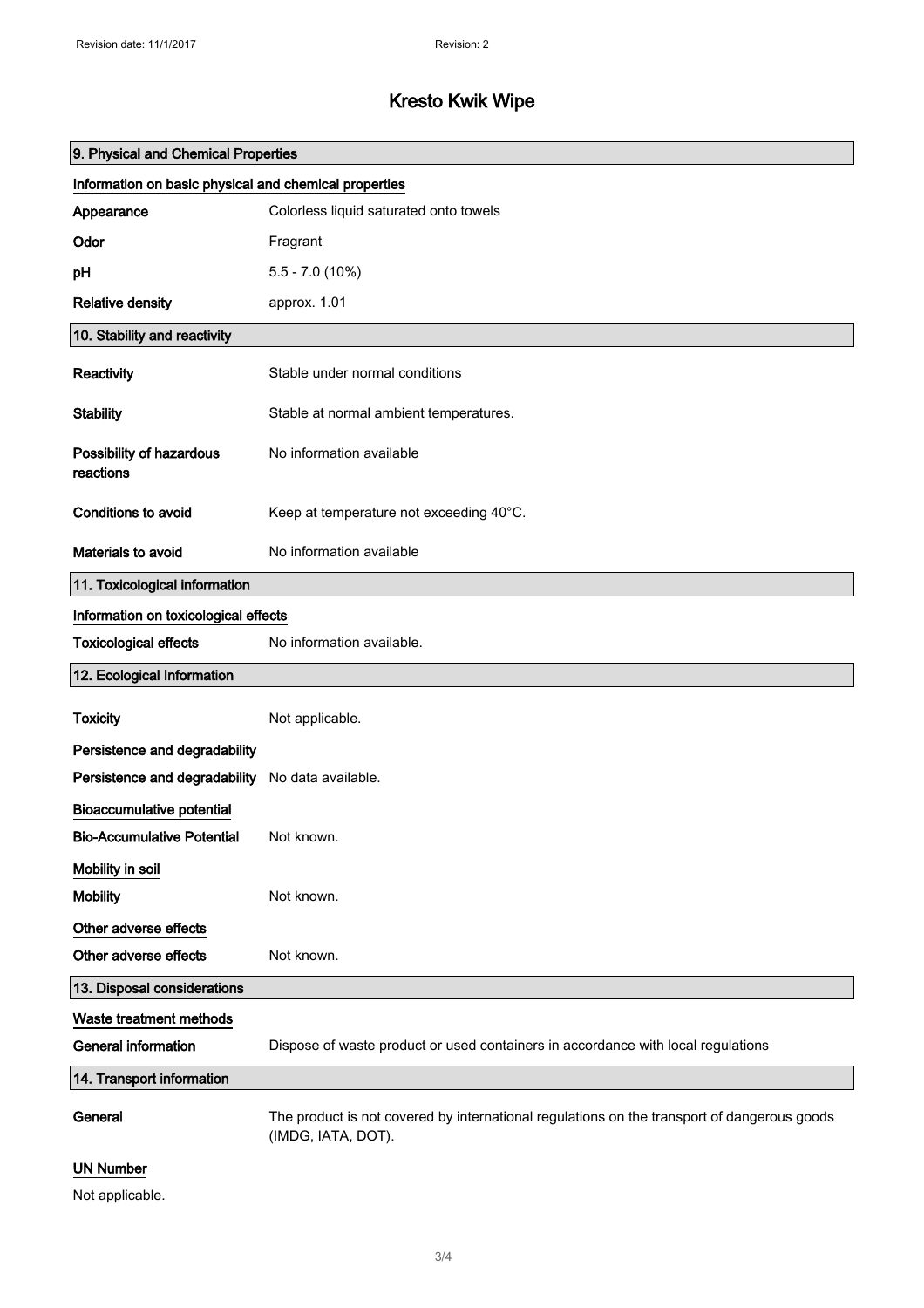# Kresto Kwik Wipe

| 9. Physical and Chemical Properties                   |                                                                                                                   |  |
|-------------------------------------------------------|-------------------------------------------------------------------------------------------------------------------|--|
| Information on basic physical and chemical properties |                                                                                                                   |  |
| Appearance                                            | Colorless liquid saturated onto towels                                                                            |  |
| Odor                                                  | Fragrant                                                                                                          |  |
| pH                                                    | $5.5 - 7.0(10\%)$                                                                                                 |  |
| <b>Relative density</b>                               | approx. 1.01                                                                                                      |  |
| 10. Stability and reactivity                          |                                                                                                                   |  |
| Reactivity                                            | Stable under normal conditions                                                                                    |  |
| <b>Stability</b>                                      | Stable at normal ambient temperatures.                                                                            |  |
| Possibility of hazardous<br>reactions                 | No information available                                                                                          |  |
| <b>Conditions to avoid</b>                            | Keep at temperature not exceeding 40°C.                                                                           |  |
| Materials to avoid                                    | No information available                                                                                          |  |
| 11. Toxicological information                         |                                                                                                                   |  |
| Information on toxicological effects                  |                                                                                                                   |  |
| <b>Toxicological effects</b>                          | No information available.                                                                                         |  |
| 12. Ecological Information                            |                                                                                                                   |  |
| <b>Toxicity</b>                                       | Not applicable.                                                                                                   |  |
| Persistence and degradability                         |                                                                                                                   |  |
| Persistence and degradability                         | No data available.                                                                                                |  |
| <b>Bioaccumulative potential</b>                      |                                                                                                                   |  |
| <b>Bio-Accumulative Potential</b>                     | Not known.                                                                                                        |  |
| Mobility in soil                                      |                                                                                                                   |  |
| <b>Mobility</b>                                       | Not known.                                                                                                        |  |
| Other adverse effects                                 |                                                                                                                   |  |
| Other adverse effects                                 | Not known.                                                                                                        |  |
| 13. Disposal considerations                           |                                                                                                                   |  |
| Waste treatment methods                               |                                                                                                                   |  |
| <b>General information</b>                            | Dispose of waste product or used containers in accordance with local regulations                                  |  |
| 14. Transport information                             |                                                                                                                   |  |
| General                                               | The product is not covered by international regulations on the transport of dangerous goods<br>(IMDG, IATA, DOT). |  |
| <b>UN Number</b>                                      |                                                                                                                   |  |
| Not applicable.                                       |                                                                                                                   |  |